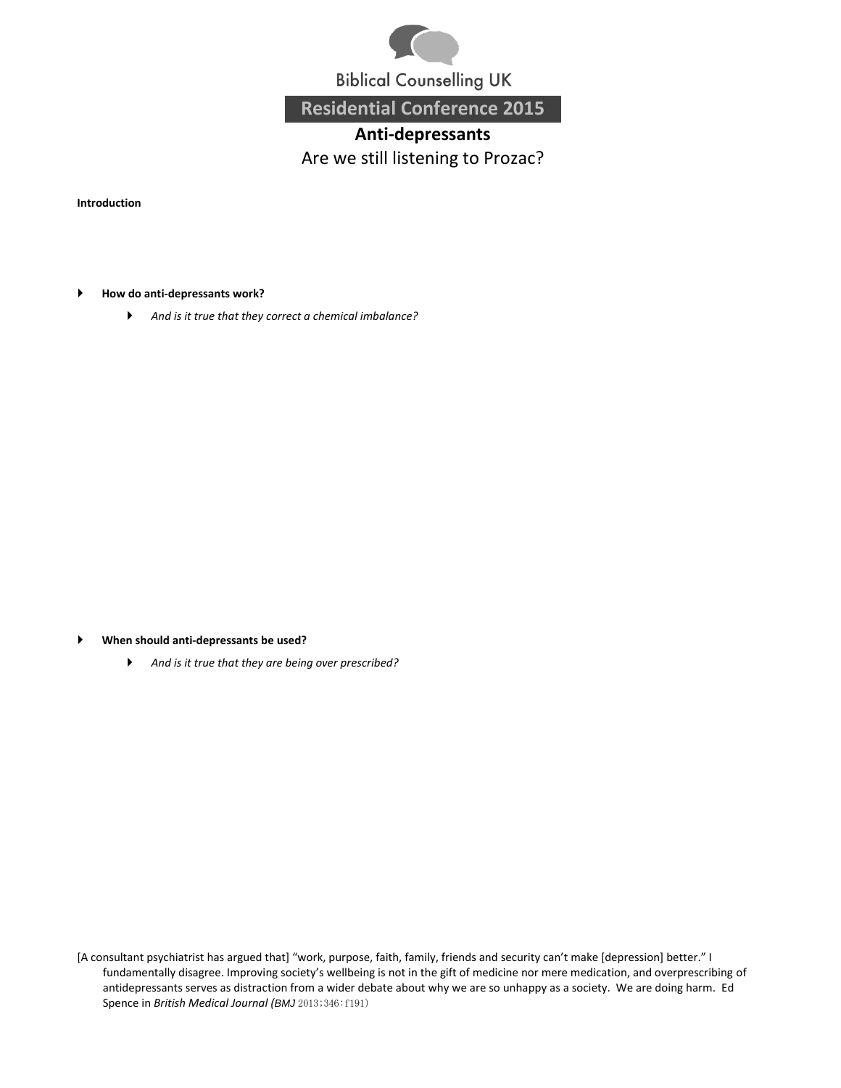

**Biblical Counselling UK** 

**Residential Conference 2015**

## **Anti-depressants** Are we still listening to Prozac?

**Introduction**

- **How do anti-depressants work?**
	- *And is it true that they correct a chemical imbalance?*

- **When should anti-depressants be used?**
	- *And is it true that they are being over prescribed?*

[A consultant psychiatrist has argued that] "work, purpose, faith, family, friends and security can't make [depression] better." I fundamentally disagree. Improving society's wellbeing is not in the gift of medicine nor mere medication, and overprescribing of antidepressants serves as distraction from a wider debate about why we are so unhappy as a society. We are doing harm. Ed Spence in *British Medical Journal (BMJ* 2013;346:f191)